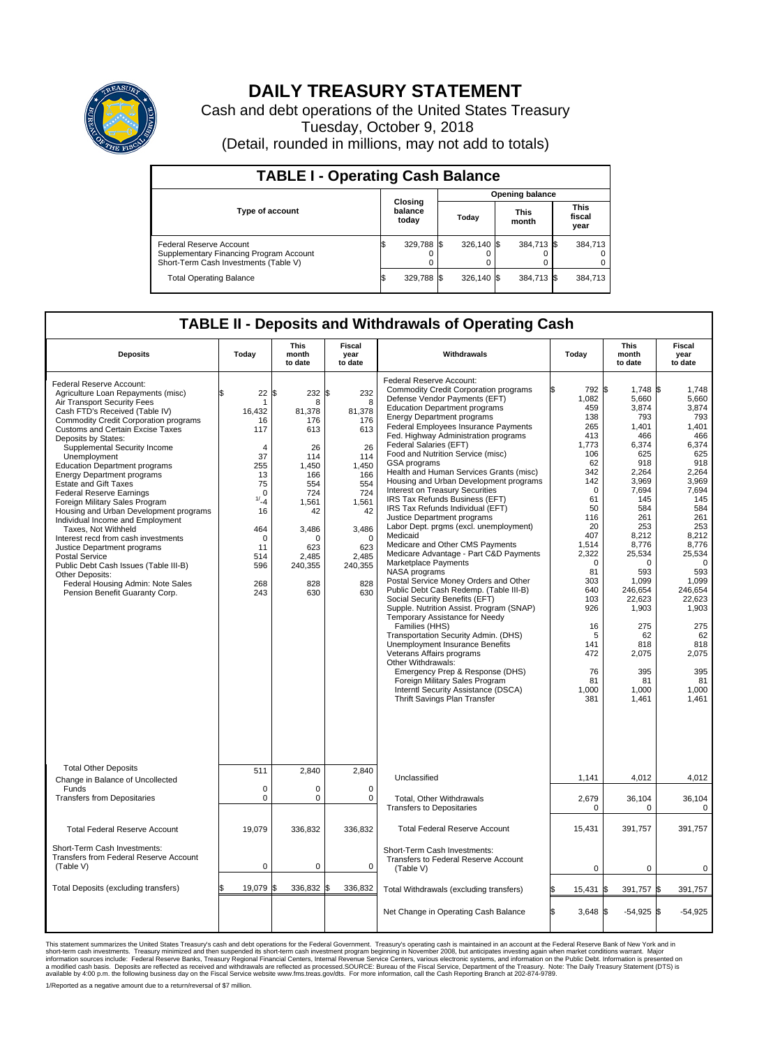

## **DAILY TREASURY STATEMENT**

Cash and debt operations of the United States Treasury Tuesday, October 9, 2018 (Detail, rounded in millions, may not add to totals)

| <b>TABLE I - Operating Cash Balance</b>                                                                     |    |                             |  |                        |  |                      |  |                               |  |  |  |
|-------------------------------------------------------------------------------------------------------------|----|-----------------------------|--|------------------------|--|----------------------|--|-------------------------------|--|--|--|
|                                                                                                             |    |                             |  | <b>Opening balance</b> |  |                      |  |                               |  |  |  |
| <b>Type of account</b>                                                                                      |    | Closing<br>balance<br>today |  | Today                  |  | <b>This</b><br>month |  | <b>This</b><br>fiscal<br>year |  |  |  |
| Federal Reserve Account<br>Supplementary Financing Program Account<br>Short-Term Cash Investments (Table V) |    | 329,788 \$                  |  | 326.140 \$             |  | 384,713 \$           |  | 384.713                       |  |  |  |
| <b>Total Operating Balance</b>                                                                              | IЭ | 329,788 \$                  |  | $326.140$ \$           |  | 384,713 \$           |  | 384,713                       |  |  |  |

## **TABLE II - Deposits and Withdrawals of Operating Cash**

| <b>Deposits</b>                                                                                                                                                                                                                                                                                                                                                                                                                                                                                                                                                                                                                                                                                                                                                                                                            | Today                                                                                                                                                           | This<br>month<br>to date                                                                                                                                   | Fiscal<br>year<br>to date                                                                                                                                | Withdrawals                                                                                                                                                                                                                                                                                                                                                                                                                                                                                                                                                                                                                                                                                                                                                                                                                                                                                                                                                                                                                                                                                                                                                                                                                                                                        | Today                                                                                                                                                                                                                                                  | <b>This</b><br>month<br>to date                                                                                                                                                                                                                                                   | Fiscal<br>year<br>to date                                                                                                                                                                                                                                                         |
|----------------------------------------------------------------------------------------------------------------------------------------------------------------------------------------------------------------------------------------------------------------------------------------------------------------------------------------------------------------------------------------------------------------------------------------------------------------------------------------------------------------------------------------------------------------------------------------------------------------------------------------------------------------------------------------------------------------------------------------------------------------------------------------------------------------------------|-----------------------------------------------------------------------------------------------------------------------------------------------------------------|------------------------------------------------------------------------------------------------------------------------------------------------------------|----------------------------------------------------------------------------------------------------------------------------------------------------------|------------------------------------------------------------------------------------------------------------------------------------------------------------------------------------------------------------------------------------------------------------------------------------------------------------------------------------------------------------------------------------------------------------------------------------------------------------------------------------------------------------------------------------------------------------------------------------------------------------------------------------------------------------------------------------------------------------------------------------------------------------------------------------------------------------------------------------------------------------------------------------------------------------------------------------------------------------------------------------------------------------------------------------------------------------------------------------------------------------------------------------------------------------------------------------------------------------------------------------------------------------------------------------|--------------------------------------------------------------------------------------------------------------------------------------------------------------------------------------------------------------------------------------------------------|-----------------------------------------------------------------------------------------------------------------------------------------------------------------------------------------------------------------------------------------------------------------------------------|-----------------------------------------------------------------------------------------------------------------------------------------------------------------------------------------------------------------------------------------------------------------------------------|
| Federal Reserve Account:<br>Agriculture Loan Repayments (misc)<br>Air Transport Security Fees<br>Cash FTD's Received (Table IV)<br><b>Commodity Credit Corporation programs</b><br><b>Customs and Certain Excise Taxes</b><br>Deposits by States:<br>Supplemental Security Income<br>Unemployment<br><b>Education Department programs</b><br><b>Energy Department programs</b><br><b>Estate and Gift Taxes</b><br><b>Federal Reserve Earnings</b><br>Foreign Military Sales Program<br>Housing and Urban Development programs<br>Individual Income and Employment<br>Taxes. Not Withheld<br>Interest recd from cash investments<br>Justice Department programs<br><b>Postal Service</b><br>Public Debt Cash Issues (Table III-B)<br>Other Deposits:<br>Federal Housing Admin: Note Sales<br>Pension Benefit Guaranty Corp. | 22<br>$\mathbf{1}$<br>16,432<br>16<br>117<br>$\overline{4}$<br>37<br>255<br>13<br>75<br>$\mathbf 0$<br>1/24<br>16<br>464<br>0<br>11<br>514<br>596<br>268<br>243 | \$<br>232 \$<br>8<br>81,378<br>176<br>613<br>26<br>114<br>1,450<br>166<br>554<br>724<br>1,561<br>42<br>3,486<br>n<br>623<br>2,485<br>240,355<br>828<br>630 | 232<br>8<br>81.378<br>176<br>613<br>26<br>114<br>1,450<br>166<br>554<br>724<br>1,561<br>42<br>3,486<br>$\Omega$<br>623<br>2,485<br>240,355<br>828<br>630 | <b>Federal Reserve Account:</b><br><b>Commodity Credit Corporation programs</b><br>Defense Vendor Payments (EFT)<br><b>Education Department programs</b><br><b>Energy Department programs</b><br>Federal Employees Insurance Payments<br>Fed. Highway Administration programs<br>Federal Salaries (EFT)<br>Food and Nutrition Service (misc)<br><b>GSA</b> programs<br>Health and Human Services Grants (misc)<br>Housing and Urban Development programs<br>Interest on Treasury Securities<br>IRS Tax Refunds Business (EFT)<br>IRS Tax Refunds Individual (EFT)<br>Justice Department programs<br>Labor Dept. prgms (excl. unemployment)<br>Medicaid<br>Medicare and Other CMS Payments<br>Medicare Advantage - Part C&D Payments<br>Marketplace Payments<br>NASA programs<br>Postal Service Money Orders and Other<br>Public Debt Cash Redemp. (Table III-B)<br>Social Security Benefits (EFT)<br>Supple. Nutrition Assist. Program (SNAP)<br>Temporary Assistance for Needy<br>Families (HHS)<br>Transportation Security Admin. (DHS)<br>Unemployment Insurance Benefits<br>Veterans Affairs programs<br>Other Withdrawals:<br>Emergency Prep & Response (DHS)<br>Foreign Military Sales Program<br>Interntl Security Assistance (DSCA)<br><b>Thrift Savings Plan Transfer</b> | 792 \$<br>1,082<br>459<br>138<br>265<br>413<br>1,773<br>106<br>62<br>342<br>142<br>$\mathbf 0$<br>61<br>50<br>116<br>20<br>407<br>1,514<br>2,322<br>$\mathbf 0$<br>81<br>303<br>640<br>103<br>926<br>16<br>5<br>141<br>472<br>76<br>81<br>1,000<br>381 | 1,748 \$<br>5,660<br>3.874<br>793<br>1,401<br>466<br>6,374<br>625<br>918<br>2,264<br>3,969<br>7.694<br>145<br>584<br>261<br>253<br>8,212<br>8,776<br>25,534<br>$\Omega$<br>593<br>1,099<br>246,654<br>22,623<br>1,903<br>275<br>62<br>818<br>2,075<br>395<br>81<br>1,000<br>1,461 | 1,748<br>5,660<br>3.874<br>793<br>1,401<br>466<br>6,374<br>625<br>918<br>2,264<br>3,969<br>7,694<br>145<br>584<br>261<br>253<br>8.212<br>8,776<br>25,534<br>$\mathbf 0$<br>593<br>1,099<br>246.654<br>22,623<br>1,903<br>275<br>62<br>818<br>2,075<br>395<br>81<br>1,000<br>1,461 |
| <b>Total Other Deposits</b>                                                                                                                                                                                                                                                                                                                                                                                                                                                                                                                                                                                                                                                                                                                                                                                                | 511                                                                                                                                                             | 2,840                                                                                                                                                      | 2,840                                                                                                                                                    | Unclassified                                                                                                                                                                                                                                                                                                                                                                                                                                                                                                                                                                                                                                                                                                                                                                                                                                                                                                                                                                                                                                                                                                                                                                                                                                                                       | 1,141                                                                                                                                                                                                                                                  | 4,012                                                                                                                                                                                                                                                                             | 4,012                                                                                                                                                                                                                                                                             |
| Change in Balance of Uncollected<br>Funds<br><b>Transfers from Depositaries</b>                                                                                                                                                                                                                                                                                                                                                                                                                                                                                                                                                                                                                                                                                                                                            | $\mathbf 0$<br>$\mathbf 0$                                                                                                                                      | 0<br>0                                                                                                                                                     | $\mathbf 0$<br>$\mathbf 0$                                                                                                                               |                                                                                                                                                                                                                                                                                                                                                                                                                                                                                                                                                                                                                                                                                                                                                                                                                                                                                                                                                                                                                                                                                                                                                                                                                                                                                    |                                                                                                                                                                                                                                                        |                                                                                                                                                                                                                                                                                   |                                                                                                                                                                                                                                                                                   |
|                                                                                                                                                                                                                                                                                                                                                                                                                                                                                                                                                                                                                                                                                                                                                                                                                            |                                                                                                                                                                 |                                                                                                                                                            |                                                                                                                                                          | Total, Other Withdrawals<br><b>Transfers to Depositaries</b>                                                                                                                                                                                                                                                                                                                                                                                                                                                                                                                                                                                                                                                                                                                                                                                                                                                                                                                                                                                                                                                                                                                                                                                                                       | 2,679<br>0                                                                                                                                                                                                                                             | 36,104<br>0                                                                                                                                                                                                                                                                       | 36,104<br>0                                                                                                                                                                                                                                                                       |
| <b>Total Federal Reserve Account</b>                                                                                                                                                                                                                                                                                                                                                                                                                                                                                                                                                                                                                                                                                                                                                                                       | 19,079                                                                                                                                                          | 336,832                                                                                                                                                    | 336,832                                                                                                                                                  | <b>Total Federal Reserve Account</b>                                                                                                                                                                                                                                                                                                                                                                                                                                                                                                                                                                                                                                                                                                                                                                                                                                                                                                                                                                                                                                                                                                                                                                                                                                               | 15,431                                                                                                                                                                                                                                                 | 391,757                                                                                                                                                                                                                                                                           | 391,757                                                                                                                                                                                                                                                                           |
| Short-Term Cash Investments:<br><b>Transfers from Federal Reserve Account</b><br>(Table V)                                                                                                                                                                                                                                                                                                                                                                                                                                                                                                                                                                                                                                                                                                                                 | 0                                                                                                                                                               | 0                                                                                                                                                          | 0                                                                                                                                                        | Short-Term Cash Investments:<br>Transfers to Federal Reserve Account<br>(Table V)                                                                                                                                                                                                                                                                                                                                                                                                                                                                                                                                                                                                                                                                                                                                                                                                                                                                                                                                                                                                                                                                                                                                                                                                  | 0                                                                                                                                                                                                                                                      | 0                                                                                                                                                                                                                                                                                 | 0                                                                                                                                                                                                                                                                                 |
| Total Deposits (excluding transfers)                                                                                                                                                                                                                                                                                                                                                                                                                                                                                                                                                                                                                                                                                                                                                                                       | 19.079                                                                                                                                                          | 336,832 \$<br>ß.                                                                                                                                           | 336,832                                                                                                                                                  | Total Withdrawals (excluding transfers)                                                                                                                                                                                                                                                                                                                                                                                                                                                                                                                                                                                                                                                                                                                                                                                                                                                                                                                                                                                                                                                                                                                                                                                                                                            | 15,431                                                                                                                                                                                                                                                 | 391,757                                                                                                                                                                                                                                                                           | l\$<br>391,757                                                                                                                                                                                                                                                                    |
|                                                                                                                                                                                                                                                                                                                                                                                                                                                                                                                                                                                                                                                                                                                                                                                                                            |                                                                                                                                                                 |                                                                                                                                                            |                                                                                                                                                          | Net Change in Operating Cash Balance                                                                                                                                                                                                                                                                                                                                                                                                                                                                                                                                                                                                                                                                                                                                                                                                                                                                                                                                                                                                                                                                                                                                                                                                                                               | l\$<br>$3,648$ \$                                                                                                                                                                                                                                      | $-54,925$ \$                                                                                                                                                                                                                                                                      | $-54,925$                                                                                                                                                                                                                                                                         |

This statement summarizes the United States Treasury's cash and debt operations for the Federal Government. Treasury soperating in November 2008, but anticiarde in a cocount at the Federal Reserve Bank of New York and in<br>s

1/Reported as a negative amount due to a return/reversal of \$7 million.